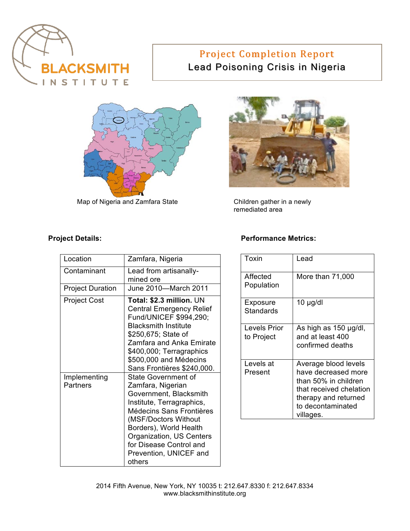

# Project Completion Report Lead Poisoning Crisis in Nigeria



Map of Nigeria and Zamfara State



Children gather in a newly remediated area

| Location                        | Zamfara, Nigeria                                                                                                                                                                                                                                                                |
|---------------------------------|---------------------------------------------------------------------------------------------------------------------------------------------------------------------------------------------------------------------------------------------------------------------------------|
| Contaminant                     | Lead from artisanally-<br>mined ore                                                                                                                                                                                                                                             |
| <b>Project Duration</b>         | June 2010-March 2011                                                                                                                                                                                                                                                            |
| <b>Project Cost</b>             | Total: \$2.3 million. UN<br><b>Central Emergency Relief</b><br>Fund/UNICEF \$994,290;<br><b>Blacksmith Institute</b><br>\$250,675; State of<br>Zamfara and Anka Emirate<br>\$400,000; Terragraphics<br>\$500,000 and Médecins<br>Sans Frontières \$240,000.                     |
| Implementing<br><b>Partners</b> | <b>State Government of</b><br>Zamfara, Nigerian<br>Government, Blacksmith<br>Institute, Terragraphics,<br>Médecins Sans Frontières<br>(MSF/Doctors Without<br>Borders), World Health<br>Organization, US Centers<br>for Disease Control and<br>Prevention, UNICEF and<br>others |

#### **Project Details:** Project Details:

| Toxin                        | Lead                                                                                                                                                     |
|------------------------------|----------------------------------------------------------------------------------------------------------------------------------------------------------|
| Affected<br>Population       | More than 71,000                                                                                                                                         |
| Exposure<br><b>Standards</b> | $10 \mu$ g/dl                                                                                                                                            |
| Levels Prior<br>to Project   | As high as 150 µg/dl,<br>and at least 400<br>confirmed deaths                                                                                            |
| Levels at<br>Present         | Average blood levels<br>have decreased more<br>than 50% in children<br>that received chelation<br>therapy and returned<br>to decontaminated<br>villages. |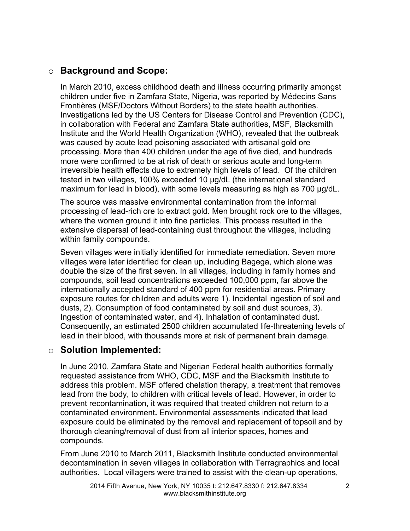# o **Background and Scope:**

In March 2010, excess childhood death and illness occurring primarily amongst children under five in Zamfara State, Nigeria, was reported by Médecins Sans Frontières (MSF/Doctors Without Borders) to the state health authorities. Investigations led by the US Centers for Disease Control and Prevention (CDC), in collaboration with Federal and Zamfara State authorities, MSF, Blacksmith Institute and the World Health Organization (WHO), revealed that the outbreak was caused by acute lead poisoning associated with artisanal gold ore processing. More than 400 children under the age of five died, and hundreds more were confirmed to be at risk of death or serious acute and long-term irreversible health effects due to extremely high levels of lead. Of the children tested in two villages, 100% exceeded 10  $\mu$ g/dL (the international standard maximum for lead in blood), with some levels measuring as high as 700  $\mu$ g/dL.

The source was massive environmental contamination from the informal processing of lead-rich ore to extract gold. Men brought rock ore to the villages, where the women ground it into fine particles. This process resulted in the extensive dispersal of lead-containing dust throughout the villages, including within family compounds.

Seven villages were initially identified for immediate remediation. Seven more villages were later identified for clean up, including Bagega, which alone was double the size of the first seven. In all villages, including in family homes and compounds, soil lead concentrations exceeded 100,000 ppm, far above the internationally accepted standard of 400 ppm for residential areas. Primary exposure routes for children and adults were 1). Incidental ingestion of soil and dusts, 2). Consumption of food contaminated by soil and dust sources, 3). Ingestion of contaminated water, and 4). Inhalation of contaminated dust. Consequently, an estimated 2500 children accumulated life-threatening levels of lead in their blood, with thousands more at risk of permanent brain damage.

### o **Solution Implemented:**

In June 2010, Zamfara State and Nigerian Federal health authorities formally requested assistance from WHO, CDC, MSF and the Blacksmith Institute to address this problem. MSF offered chelation therapy, a treatment that removes lead from the body, to children with critical levels of lead. However, in order to prevent recontamination, it was required that treated children not return to a contaminated environment**.** Environmental assessments indicated that lead exposure could be eliminated by the removal and replacement of topsoil and by thorough cleaning/removal of dust from all interior spaces, homes and compounds.

From June 2010 to March 2011, Blacksmith Institute conducted environmental decontamination in seven villages in collaboration with Terragraphics and local authorities. Local villagers were trained to assist with the clean-up operations,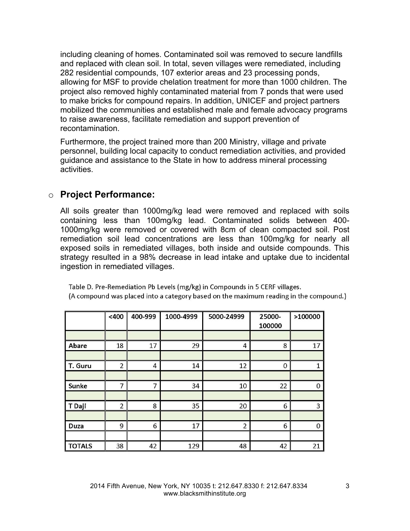including cleaning of homes. Contaminated soil was removed to secure landfills and replaced with clean soil. In total, seven villages were remediated, including 282 residential compounds, 107 exterior areas and 23 processing ponds, allowing for MSF to provide chelation treatment for more than 1000 children. The project also removed highly contaminated material from 7 ponds that were used to make bricks for compound repairs. In addition, UNICEF and project partners mobilized the communities and established male and female advocacy programs to raise awareness, facilitate remediation and support prevention of recontamination.

Furthermore, the project trained more than 200 Ministry, village and private personnel, building local capacity to conduct remediation activities, and provided guidance and assistance to the State in how to address mineral processing activities.

# o **Project Performance:**

All soils greater than 1000mg/kg lead were removed and replaced with soils containing less than 100mg/kg lead. Contaminated solids between 400- 1000mg/kg were removed or covered with 8cm of clean compacted soil. Post remediation soil lead concentrations are less than 100mg/kg for nearly all exposed soils in remediated villages, both inside and outside compounds. This strategy resulted in a 98% decrease in lead intake and uptake due to incidental ingestion in remediated villages.

|               | < 400          | 400-999        | 1000-4999 | 5000-24999     | 25000-<br>100000 | >100000        |
|---------------|----------------|----------------|-----------|----------------|------------------|----------------|
|               |                |                |           |                |                  |                |
| Abare         | 18             | 17             | 29        | 4              | 8                | 17             |
|               |                |                |           |                |                  |                |
| T. Guru       | $\overline{2}$ | $\overline{4}$ | 14        | 12             | $\overline{0}$   | 1              |
|               |                |                |           |                |                  |                |
| Sunke         | $\overline{7}$ | 7              | 34        | 10             | 22               | $\mathbf 0$    |
|               |                |                |           |                |                  |                |
| T Daji        | $\overline{2}$ | 8              | 35        | 20             | 6                | $\overline{3}$ |
|               |                |                |           |                |                  |                |
| <b>Duza</b>   | 9              | 6              | 17        | $\overline{2}$ | 6                | $\mathbf 0$    |
|               |                |                |           |                |                  |                |
| <b>TOTALS</b> | 38             | 42             | 129       | 48             | 42               | 21             |

Table D. Pre-Remediation Pb Levels (mg/kg) in Compounds in 5 CERF villages. (A compound was placed into a category based on the maximum reading in the compound.)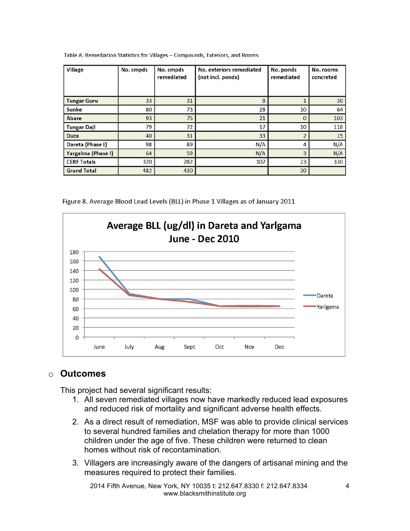| Village            | No. cmpds | No. cmpds<br>remediated | No. exteriors remediated<br>(not incl. ponds) | No. ponds<br>remediated | No. rooms<br>concreted |
|--------------------|-----------|-------------------------|-----------------------------------------------|-------------------------|------------------------|
| <b>Tungar Guru</b> | 33        | 31                      | 8                                             |                         | 30                     |
| Sunke              | 80        | 73                      | 28                                            | 10                      | 64                     |
| Abare              | 93        | 75                      | 21                                            | $\mathbf{0}$            | 103                    |
| <b>Tungar Daji</b> | 79        | 72                      | 17                                            | 10                      | 118                    |
| <b>Duza</b>        | 40        | 31                      | 33                                            | $\overline{2}$          | 15                     |
| Dareta (Phase I)   | 98        | 89                      | N/A                                           | 4                       | N/A                    |
| Yargalma (Phase I) | 64        | 59                      | N/A                                           | 3                       | N/A                    |
| <b>CERF Totals</b> | 320       | 282                     | 107                                           | 23                      | 330                    |
| <b>Grand Total</b> | 482       | 430                     |                                               | 30                      |                        |

Table A. Remediation Statistics for Villages - Compounds, Exteriors, and Rooms

Figure 8. Average Blood Lead Levels (BLL) in Phase 1 Villages as of January 2011



# o **Outcomes**

This project had several significant results:

- 1. All seven remediated villages now have markedly reduced lead exposures and reduced risk of mortality and significant adverse health effects.
- 2. As a direct result of remediation, MSF was able to provide clinical services to several hundred families and chelation therapy for more than 1000 children under the age of five. These children were returned to clean homes without risk of recontamination.
- 3. Villagers are increasingly aware of the dangers of artisanal mining and the measures required to protect their families.

2014 Fifth Avenue, New York, NY 10035 t: 212.647.8330 f: 212.647.8334 www.blacksmithinstitute.org